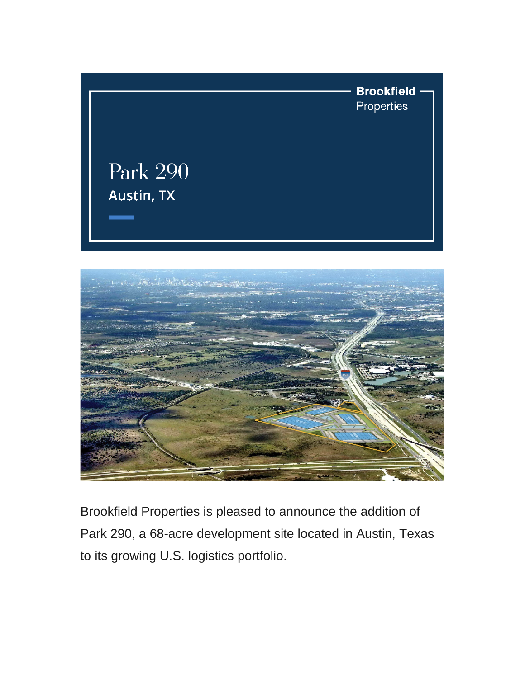



Brookfield Properties is pleased to announce the addition of Park 290, a 68-acre development site located in Austin, Texas to its growing U.S. logistics portfolio.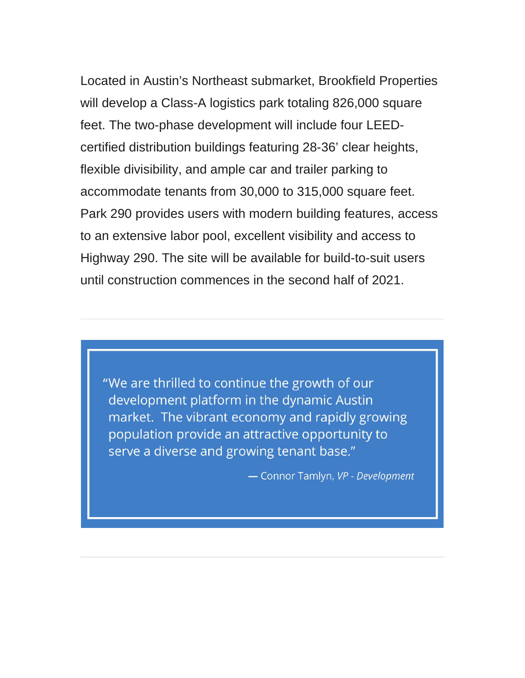Located in Austin's Northeast submarket, Brookfield Properties will develop a Class-A logistics park totaling 826,000 square feet. The two-phase development will include four LEEDcertified distribution buildings featuring 28-36' clear heights, flexible divisibility, and ample car and trailer parking to accommodate tenants from 30,000 to 315,000 square feet. Park 290 provides users with modern building features, access to an extensive labor pool, excellent visibility and access to Highway 290. The site will be available for build-to-suit users until construction commences in the second half of 2021.

"We are thrilled to continue the growth of our development platform in the dynamic Austin market. The vibrant economy and rapidly growing population provide an attractive opportunity to serve a diverse and growing tenant base."

- Connor Tamlyn, VP - Development